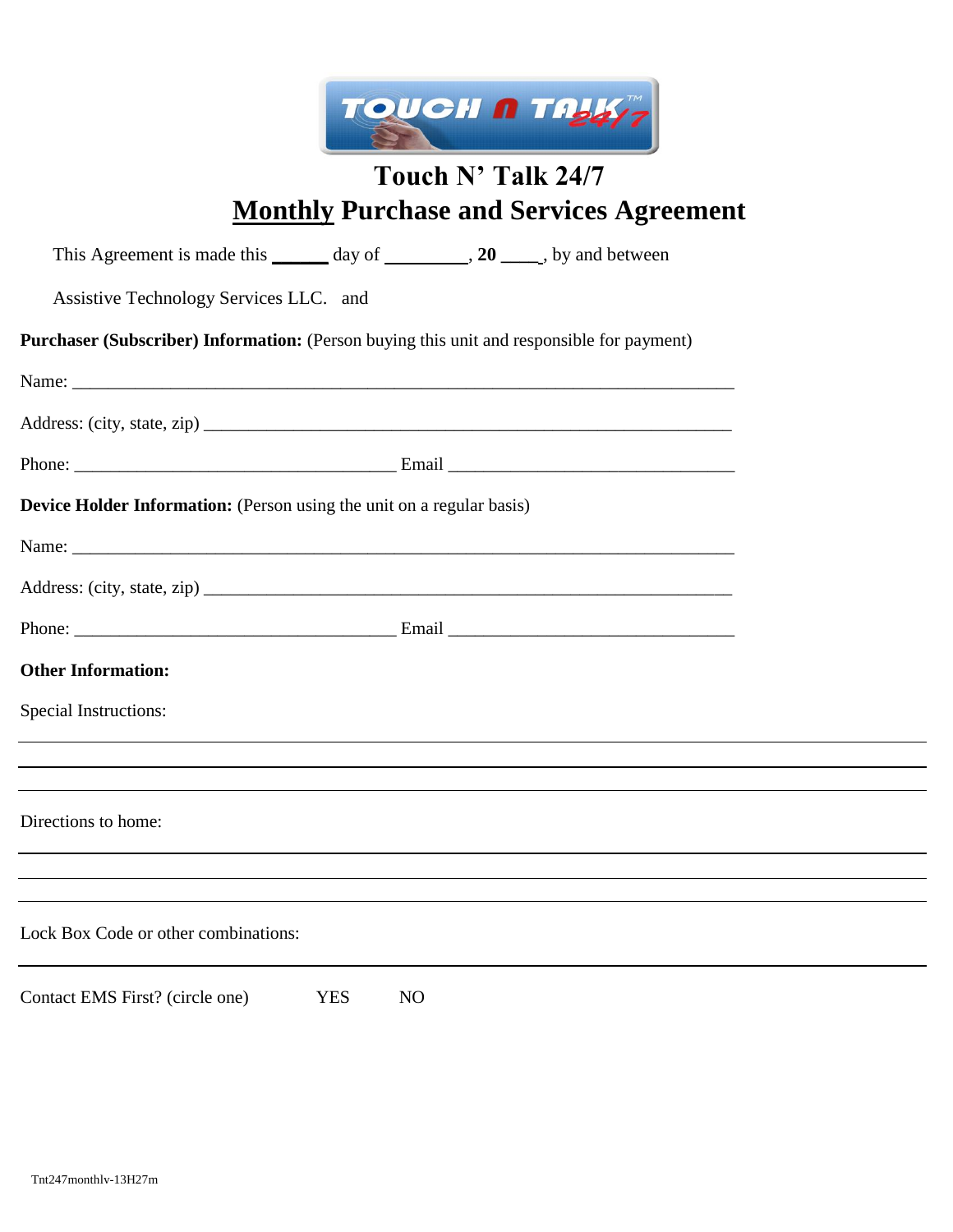

# **Touch N' Talk 24/7 Monthly Purchase and Services Agreement**

| This Agreement is made this _______ day of _________, 20 _____, by and between                                  |                |  |  |
|-----------------------------------------------------------------------------------------------------------------|----------------|--|--|
| Assistive Technology Services LLC. and                                                                          |                |  |  |
| Purchaser (Subscriber) Information: (Person buying this unit and responsible for payment)                       |                |  |  |
|                                                                                                                 |                |  |  |
|                                                                                                                 |                |  |  |
|                                                                                                                 |                |  |  |
| <b>Device Holder Information:</b> (Person using the unit on a regular basis)                                    |                |  |  |
|                                                                                                                 |                |  |  |
|                                                                                                                 |                |  |  |
|                                                                                                                 |                |  |  |
| <b>Other Information:</b>                                                                                       |                |  |  |
| <b>Special Instructions:</b>                                                                                    |                |  |  |
| the contract of the contract of the contract of the contract of the contract of the contract of the contract of |                |  |  |
|                                                                                                                 |                |  |  |
| Directions to home:                                                                                             |                |  |  |
|                                                                                                                 |                |  |  |
| Lock Box Code or other combinations:                                                                            |                |  |  |
|                                                                                                                 |                |  |  |
| Contact EMS First? (circle one)<br><b>YES</b>                                                                   | N <sub>O</sub> |  |  |
|                                                                                                                 |                |  |  |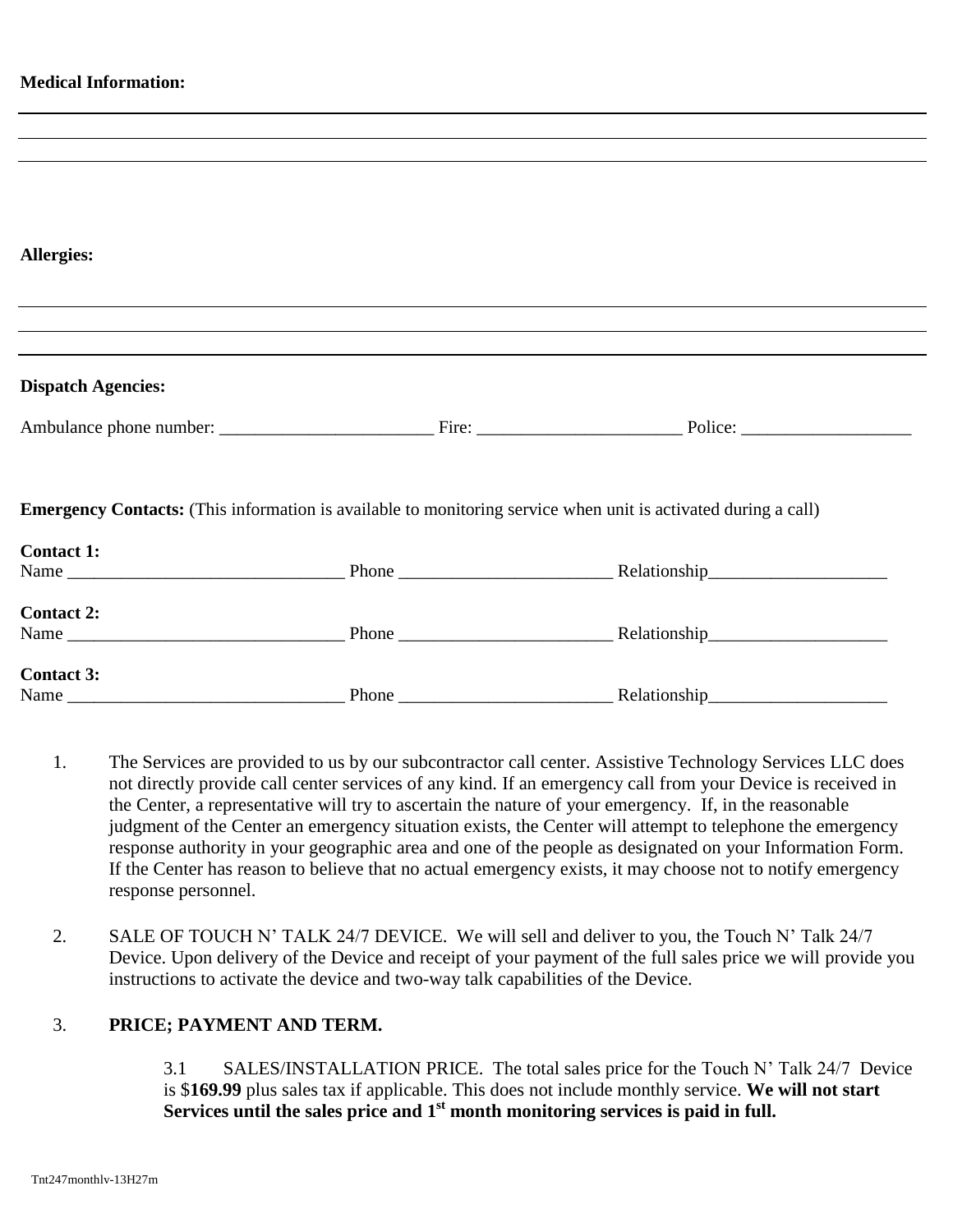| <b>Medical Information:</b> |                                                                                                                       |
|-----------------------------|-----------------------------------------------------------------------------------------------------------------------|
|                             | <u> 1989 - Johann Stoff, amerikansk politiker (d. 1989)</u>                                                           |
|                             |                                                                                                                       |
|                             |                                                                                                                       |
|                             |                                                                                                                       |
|                             |                                                                                                                       |
| <b>Allergies:</b>           |                                                                                                                       |
|                             |                                                                                                                       |
|                             |                                                                                                                       |
|                             |                                                                                                                       |
| <b>Dispatch Agencies:</b>   |                                                                                                                       |
|                             |                                                                                                                       |
|                             | <b>Emergency Contacts:</b> (This information is available to monitoring service when unit is activated during a call) |
| <b>Contact 1:</b>           |                                                                                                                       |
|                             |                                                                                                                       |
| <b>Contact 2:</b>           |                                                                                                                       |
|                             |                                                                                                                       |
|                             |                                                                                                                       |
| <b>Contact 3:</b>           |                                                                                                                       |

- 1. The Services are provided to us by our subcontractor call center. Assistive Technology Services LLC does not directly provide call center services of any kind. If an emergency call from your Device is received in the Center, a representative will try to ascertain the nature of your emergency. If, in the reasonable judgment of the Center an emergency situation exists, the Center will attempt to telephone the emergency response authority in your geographic area and one of the people as designated on your Information Form. If the Center has reason to believe that no actual emergency exists, it may choose not to notify emergency response personnel.
- 2. SALE OF TOUCH N' TALK 24/7 DEVICE. We will sell and deliver to you, the Touch N' Talk 24/7 Device. Upon delivery of the Device and receipt of your payment of the full sales price we will provide you instructions to activate the device and two-way talk capabilities of the Device.

### 3. **PRICE; PAYMENT AND TERM.**

3.1 SALES/INSTALLATION PRICE. The total sales price for the Touch N' Talk 24/7 Device is \$**169.99** plus sales tax if applicable. This does not include monthly service. **We will not start**  Services until the sales price and 1<sup>st</sup> month monitoring services is paid in full.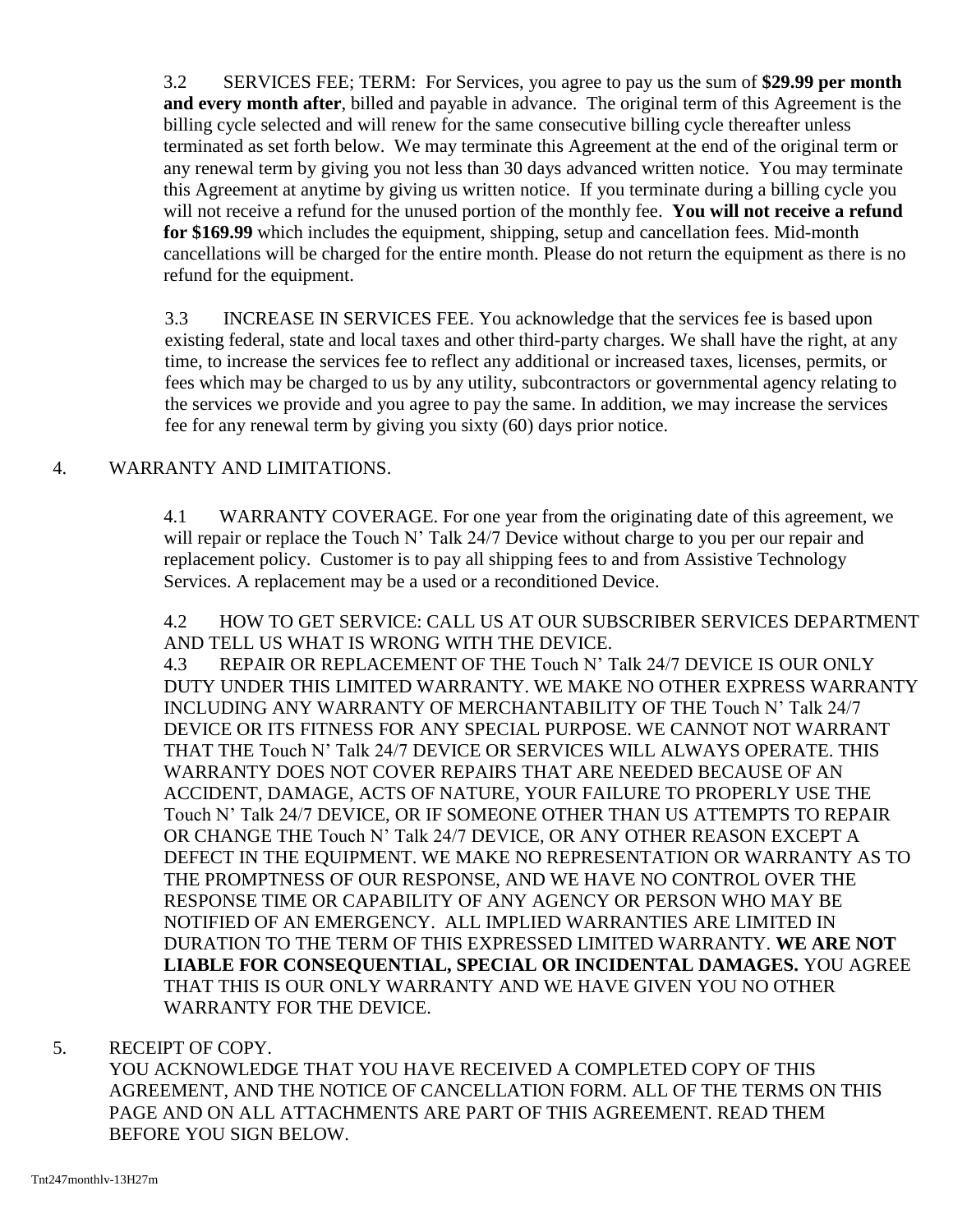3.2 SERVICES FEE; TERM: For Services, you agree to pay us the sum of **\$29.99 per month and every month after**, billed and payable in advance. The original term of this Agreement is the billing cycle selected and will renew for the same consecutive billing cycle thereafter unless terminated as set forth below. We may terminate this Agreement at the end of the original term or any renewal term by giving you not less than 30 days advanced written notice. You may terminate this Agreement at anytime by giving us written notice. If you terminate during a billing cycle you will not receive a refund for the unused portion of the monthly fee. **You will not receive a refund for \$169.99** which includes the equipment, shipping, setup and cancellation fees. Mid-month cancellations will be charged for the entire month. Please do not return the equipment as there is no refund for the equipment.

3.3 INCREASE IN SERVICES FEE. You acknowledge that the services fee is based upon existing federal, state and local taxes and other third-party charges. We shall have the right, at any time, to increase the services fee to reflect any additional or increased taxes, licenses, permits, or fees which may be charged to us by any utility, subcontractors or governmental agency relating to the services we provide and you agree to pay the same. In addition, we may increase the services fee for any renewal term by giving you sixty (60) days prior notice.

## 4. WARRANTY AND LIMITATIONS.

4.1 WARRANTY COVERAGE. For one year from the originating date of this agreement, we will repair or replace the Touch N' Talk 24/7 Device without charge to you per our repair and replacement policy. Customer is to pay all shipping fees to and from Assistive Technology Services. A replacement may be a used or a reconditioned Device.

4.2 HOW TO GET SERVICE: CALL US AT OUR SUBSCRIBER SERVICES DEPARTMENT AND TELL US WHAT IS WRONG WITH THE DEVICE.

4.3 REPAIR OR REPLACEMENT OF THE Touch N' Talk 24/7 DEVICE IS OUR ONLY DUTY UNDER THIS LIMITED WARRANTY. WE MAKE NO OTHER EXPRESS WARRANTY INCLUDING ANY WARRANTY OF MERCHANTABILITY OF THE Touch N' Talk 24/7 DEVICE OR ITS FITNESS FOR ANY SPECIAL PURPOSE. WE CANNOT NOT WARRANT THAT THE Touch N' Talk 24/7 DEVICE OR SERVICES WILL ALWAYS OPERATE. THIS WARRANTY DOES NOT COVER REPAIRS THAT ARE NEEDED BECAUSE OF AN ACCIDENT, DAMAGE, ACTS OF NATURE, YOUR FAILURE TO PROPERLY USE THE Touch N' Talk 24/7 DEVICE, OR IF SOMEONE OTHER THAN US ATTEMPTS TO REPAIR OR CHANGE THE Touch N' Talk 24/7 DEVICE, OR ANY OTHER REASON EXCEPT A DEFECT IN THE EQUIPMENT. WE MAKE NO REPRESENTATION OR WARRANTY AS TO THE PROMPTNESS OF OUR RESPONSE, AND WE HAVE NO CONTROL OVER THE RESPONSE TIME OR CAPABILITY OF ANY AGENCY OR PERSON WHO MAY BE NOTIFIED OF AN EMERGENCY. ALL IMPLIED WARRANTIES ARE LIMITED IN DURATION TO THE TERM OF THIS EXPRESSED LIMITED WARRANTY. **WE ARE NOT LIABLE FOR CONSEQUENTIAL, SPECIAL OR INCIDENTAL DAMAGES.** YOU AGREE THAT THIS IS OUR ONLY WARRANTY AND WE HAVE GIVEN YOU NO OTHER WARRANTY FOR THE DEVICE.

### 5. RECEIPT OF COPY.

YOU ACKNOWLEDGE THAT YOU HAVE RECEIVED A COMPLETED COPY OF THIS AGREEMENT, AND THE NOTICE OF CANCELLATION FORM. ALL OF THE TERMS ON THIS PAGE AND ON ALL ATTACHMENTS ARE PART OF THIS AGREEMENT. READ THEM BEFORE YOU SIGN BELOW.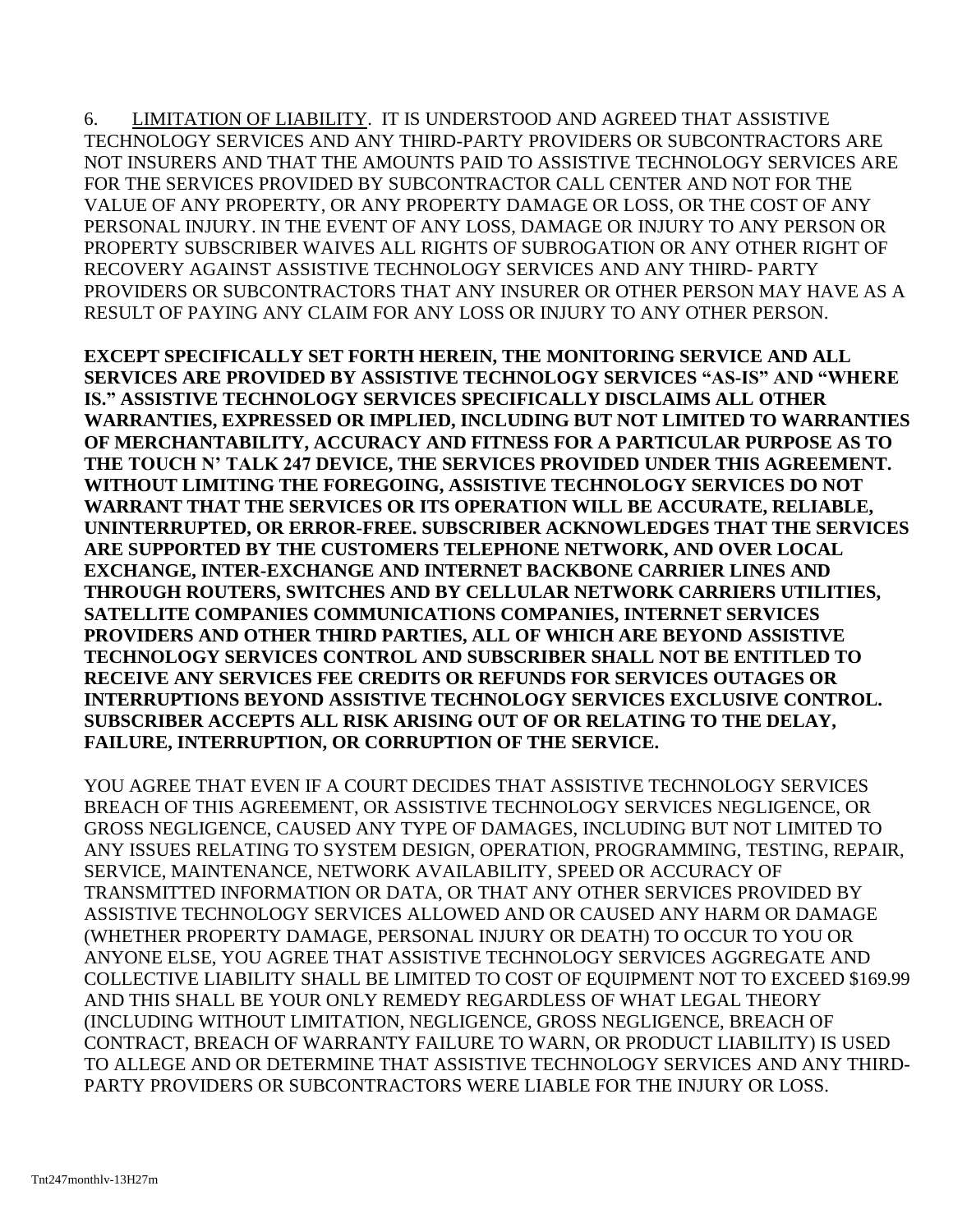6. LIMITATION OF LIABILITY. IT IS UNDERSTOOD AND AGREED THAT ASSISTIVE TECHNOLOGY SERVICES AND ANY THIRD-PARTY PROVIDERS OR SUBCONTRACTORS ARE NOT INSURERS AND THAT THE AMOUNTS PAID TO ASSISTIVE TECHNOLOGY SERVICES ARE FOR THE SERVICES PROVIDED BY SUBCONTRACTOR CALL CENTER AND NOT FOR THE VALUE OF ANY PROPERTY, OR ANY PROPERTY DAMAGE OR LOSS, OR THE COST OF ANY PERSONAL INJURY. IN THE EVENT OF ANY LOSS, DAMAGE OR INJURY TO ANY PERSON OR PROPERTY SUBSCRIBER WAIVES ALL RIGHTS OF SUBROGATION OR ANY OTHER RIGHT OF RECOVERY AGAINST ASSISTIVE TECHNOLOGY SERVICES AND ANY THIRD- PARTY PROVIDERS OR SUBCONTRACTORS THAT ANY INSURER OR OTHER PERSON MAY HAVE AS A RESULT OF PAYING ANY CLAIM FOR ANY LOSS OR INJURY TO ANY OTHER PERSON.

**EXCEPT SPECIFICALLY SET FORTH HEREIN, THE MONITORING SERVICE AND ALL SERVICES ARE PROVIDED BY ASSISTIVE TECHNOLOGY SERVICES "AS-IS" AND "WHERE IS." ASSISTIVE TECHNOLOGY SERVICES SPECIFICALLY DISCLAIMS ALL OTHER WARRANTIES, EXPRESSED OR IMPLIED, INCLUDING BUT NOT LIMITED TO WARRANTIES OF MERCHANTABILITY, ACCURACY AND FITNESS FOR A PARTICULAR PURPOSE AS TO THE TOUCH N' TALK 247 DEVICE, THE SERVICES PROVIDED UNDER THIS AGREEMENT. WITHOUT LIMITING THE FOREGOING, ASSISTIVE TECHNOLOGY SERVICES DO NOT WARRANT THAT THE SERVICES OR ITS OPERATION WILL BE ACCURATE, RELIABLE, UNINTERRUPTED, OR ERROR-FREE. SUBSCRIBER ACKNOWLEDGES THAT THE SERVICES ARE SUPPORTED BY THE CUSTOMERS TELEPHONE NETWORK, AND OVER LOCAL EXCHANGE, INTER-EXCHANGE AND INTERNET BACKBONE CARRIER LINES AND THROUGH ROUTERS, SWITCHES AND BY CELLULAR NETWORK CARRIERS UTILITIES, SATELLITE COMPANIES COMMUNICATIONS COMPANIES, INTERNET SERVICES PROVIDERS AND OTHER THIRD PARTIES, ALL OF WHICH ARE BEYOND ASSISTIVE TECHNOLOGY SERVICES CONTROL AND SUBSCRIBER SHALL NOT BE ENTITLED TO RECEIVE ANY SERVICES FEE CREDITS OR REFUNDS FOR SERVICES OUTAGES OR INTERRUPTIONS BEYOND ASSISTIVE TECHNOLOGY SERVICES EXCLUSIVE CONTROL. SUBSCRIBER ACCEPTS ALL RISK ARISING OUT OF OR RELATING TO THE DELAY, FAILURE, INTERRUPTION, OR CORRUPTION OF THE SERVICE.** 

YOU AGREE THAT EVEN IF A COURT DECIDES THAT ASSISTIVE TECHNOLOGY SERVICES BREACH OF THIS AGREEMENT, OR ASSISTIVE TECHNOLOGY SERVICES NEGLIGENCE, OR GROSS NEGLIGENCE, CAUSED ANY TYPE OF DAMAGES, INCLUDING BUT NOT LIMITED TO ANY ISSUES RELATING TO SYSTEM DESIGN, OPERATION, PROGRAMMING, TESTING, REPAIR, SERVICE, MAINTENANCE, NETWORK AVAILABILITY, SPEED OR ACCURACY OF TRANSMITTED INFORMATION OR DATA, OR THAT ANY OTHER SERVICES PROVIDED BY ASSISTIVE TECHNOLOGY SERVICES ALLOWED AND OR CAUSED ANY HARM OR DAMAGE (WHETHER PROPERTY DAMAGE, PERSONAL INJURY OR DEATH) TO OCCUR TO YOU OR ANYONE ELSE, YOU AGREE THAT ASSISTIVE TECHNOLOGY SERVICES AGGREGATE AND COLLECTIVE LIABILITY SHALL BE LIMITED TO COST OF EQUIPMENT NOT TO EXCEED \$169.99 AND THIS SHALL BE YOUR ONLY REMEDY REGARDLESS OF WHAT LEGAL THEORY (INCLUDING WITHOUT LIMITATION, NEGLIGENCE, GROSS NEGLIGENCE, BREACH OF CONTRACT, BREACH OF WARRANTY FAILURE TO WARN, OR PRODUCT LIABILITY) IS USED TO ALLEGE AND OR DETERMINE THAT ASSISTIVE TECHNOLOGY SERVICES AND ANY THIRD-PARTY PROVIDERS OR SUBCONTRACTORS WERE LIABLE FOR THE INJURY OR LOSS.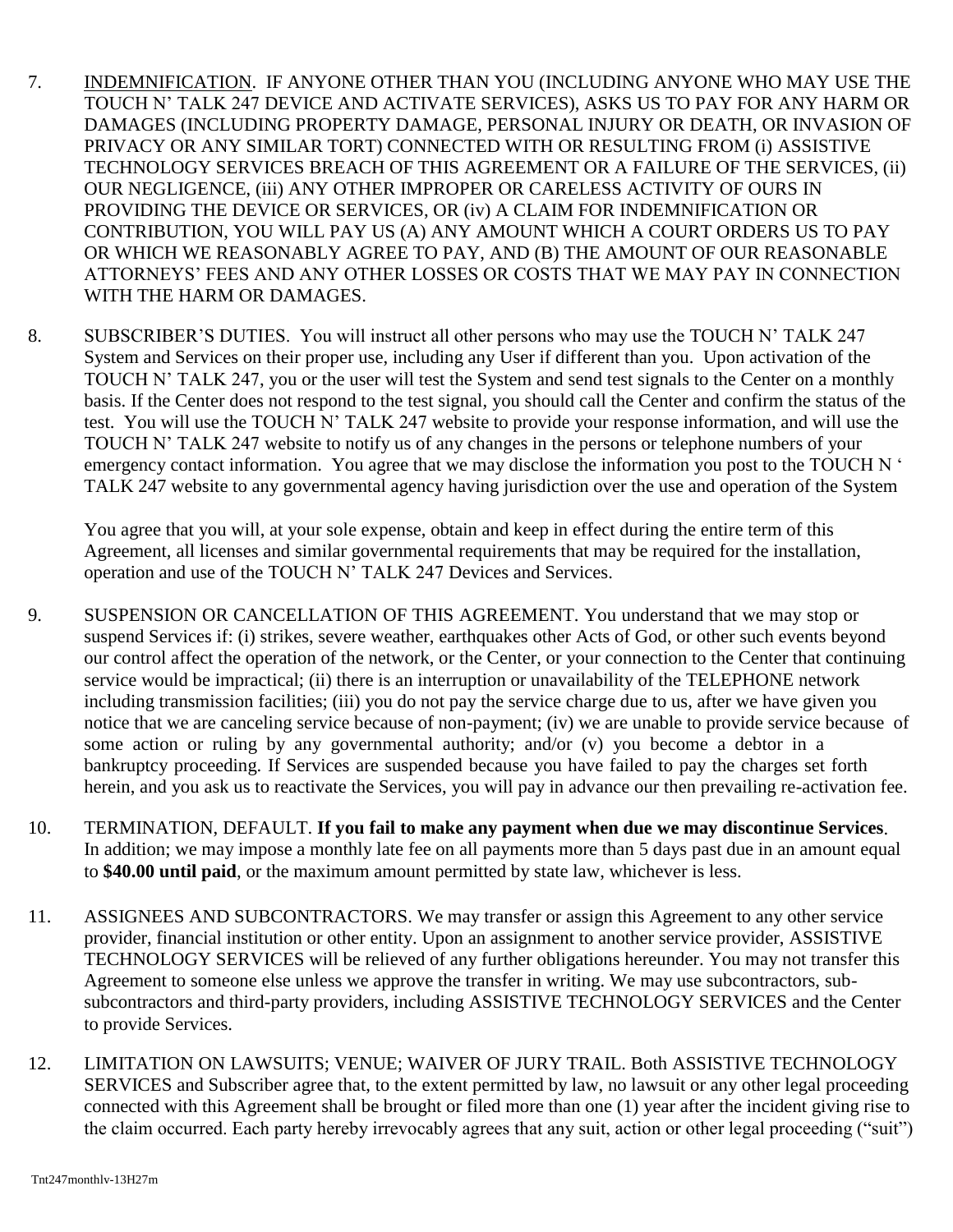- 7. INDEMNIFICATION. IF ANYONE OTHER THAN YOU (INCLUDING ANYONE WHO MAY USE THE TOUCH N' TALK 247 DEVICE AND ACTIVATE SERVICES), ASKS US TO PAY FOR ANY HARM OR DAMAGES (INCLUDING PROPERTY DAMAGE, PERSONAL INJURY OR DEATH, OR INVASION OF PRIVACY OR ANY SIMILAR TORT) CONNECTED WITH OR RESULTING FROM (i) ASSISTIVE TECHNOLOGY SERVICES BREACH OF THIS AGREEMENT OR A FAILURE OF THE SERVICES, (ii) OUR NEGLIGENCE, (iii) ANY OTHER IMPROPER OR CARELESS ACTIVITY OF OURS IN PROVIDING THE DEVICE OR SERVICES, OR (iv) A CLAIM FOR INDEMNIFICATION OR CONTRIBUTION, YOU WILL PAY US (A) ANY AMOUNT WHICH A COURT ORDERS US TO PAY OR WHICH WE REASONABLY AGREE TO PAY, AND (B) THE AMOUNT OF OUR REASONABLE ATTORNEYS' FEES AND ANY OTHER LOSSES OR COSTS THAT WE MAY PAY IN CONNECTION WITH THE HARM OR DAMAGES.
- 8. SUBSCRIBER'S DUTIES. You will instruct all other persons who may use the TOUCH N' TALK 247 System and Services on their proper use, including any User if different than you. Upon activation of the TOUCH N' TALK 247, you or the user will test the System and send test signals to the Center on a monthly basis. If the Center does not respond to the test signal, you should call the Center and confirm the status of the test. You will use the TOUCH N' TALK 247 website to provide your response information, and will use the TOUCH N' TALK 247 website to notify us of any changes in the persons or telephone numbers of your emergency contact information. You agree that we may disclose the information you post to the TOUCH N ' TALK 247 website to any governmental agency having jurisdiction over the use and operation of the System

You agree that you will, at your sole expense, obtain and keep in effect during the entire term of this Agreement, all licenses and similar governmental requirements that may be required for the installation, operation and use of the TOUCH N' TALK 247 Devices and Services.

- 9. SUSPENSION OR CANCELLATION OF THIS AGREEMENT. You understand that we may stop or suspend Services if: (i) strikes, severe weather, earthquakes other Acts of God, or other such events beyond our control affect the operation of the network, or the Center, or your connection to the Center that continuing service would be impractical; (ii) there is an interruption or unavailability of the TELEPHONE network including transmission facilities; (iii) you do not pay the service charge due to us, after we have given you notice that we are canceling service because of non-payment; (iv) we are unable to provide service because of some action or ruling by any governmental authority; and/or (v) you become a debtor in a bankruptcy proceeding. If Services are suspended because you have failed to pay the charges set forth herein, and you ask us to reactivate the Services, you will pay in advance our then prevailing re-activation fee.
- 10. TERMINATION, DEFAULT. **If you fail to make any payment when due we may discontinue Services**. In addition; we may impose a monthly late fee on all payments more than 5 days past due in an amount equal to **\$40.00 until paid**, or the maximum amount permitted by state law, whichever is less.
- 11. ASSIGNEES AND SUBCONTRACTORS. We may transfer or assign this Agreement to any other service provider, financial institution or other entity. Upon an assignment to another service provider, ASSISTIVE TECHNOLOGY SERVICES will be relieved of any further obligations hereunder. You may not transfer this Agreement to someone else unless we approve the transfer in writing. We may use subcontractors, subsubcontractors and third-party providers, including ASSISTIVE TECHNOLOGY SERVICES and the Center to provide Services.
- 12. LIMITATION ON LAWSUITS; VENUE; WAIVER OF JURY TRAIL. Both ASSISTIVE TECHNOLOGY SERVICES and Subscriber agree that, to the extent permitted by law, no lawsuit or any other legal proceeding connected with this Agreement shall be brought or filed more than one (1) year after the incident giving rise to the claim occurred. Each party hereby irrevocably agrees that any suit, action or other legal proceeding ("suit")